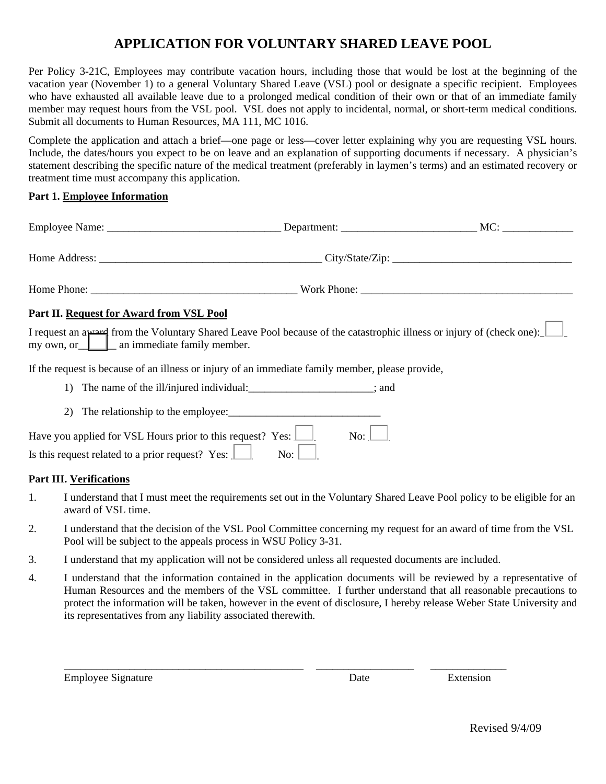## **APPLICATION FOR VOLUNTARY SHARED LEAVE POOL**

Per Policy 3-21C, Employees may contribute vacation hours, including those that would be lost at the beginning of the vacation year (November 1) to a general Voluntary Shared Leave (VSL) pool or designate a specific recipient. Employees who have exhausted all available leave due to a prolonged medical condition of their own or that of an immediate family member may request hours from the VSL pool. VSL does not apply to incidental, normal, or short-term medical conditions. Submit all documents to Human Resources, MA 111, MC 1016.

Complete the application and attach a brief—one page or less—cover letter explaining why you are requesting VSL hours. Include, the dates/hours you expect to be on leave and an explanation of supporting documents if necessary. A physician's statement describing the specific nature of the medical treatment (preferably in laymen's terms) and an estimated recovery or treatment time must accompany this application.

## **Part 1. Employee Information**

|    | Part II. Request for Award from VSL Pool                                                                                                                            |  |
|----|---------------------------------------------------------------------------------------------------------------------------------------------------------------------|--|
|    | I request an a percept from the Voluntary Shared Leave Pool because of the catastrophic illness or injury of (check one):<br>my own, or an immediate family member. |  |
|    | If the request is because of an illness or injury of an immediate family member, please provide,                                                                    |  |
|    | 1) The name of the ill/injured individual:______________________; and                                                                                               |  |
| 2) |                                                                                                                                                                     |  |

| Have you applied for VSL Hours prior to this request? Yes: $\Box$                   | No: $\vert$ |  |
|-------------------------------------------------------------------------------------|-------------|--|
| $\overline{N_{\rm O}}$ :<br>Is this request related to a prior request? Yes: $\Box$ |             |  |

## **Part III. Verifications**

- 1. I understand that I must meet the requirements set out in the Voluntary Shared Leave Pool policy to be eligible for an award of VSL time.
- 2. I understand that the decision of the VSL Pool Committee concerning my request for an award of time from the VSL Pool will be subject to the appeals process in WSU Policy 3-31.
- 3. I understand that my application will not be considered unless all requested documents are included.
- 4. I understand that the information contained in the application documents will be reviewed by a representative of Human Resources and the members of the VSL committee. I further understand that all reasonable precautions to protect the information will be taken, however in the event of disclosure, I hereby release Weber State University and its representatives from any liability associated therewith.

\_\_\_\_\_\_\_\_\_\_\_\_\_\_\_\_\_\_\_\_\_\_\_\_\_\_\_\_\_\_\_\_\_\_\_\_\_\_\_\_\_\_\_\_ \_\_\_\_\_\_\_\_\_\_\_\_\_\_\_\_\_\_ \_\_\_\_\_\_\_\_\_\_\_\_\_\_

Employee Signature **Extension** Extension

Revised 9/4/09